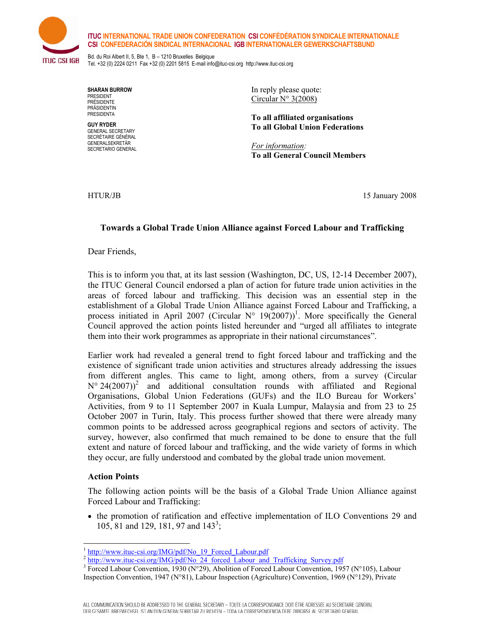## **ITUC INTERNATIONAL TRADE UNION CONFEDERATION CSI CONFÉDÉRATION SYNDICALE INTERNATIONALE CSI CONFEDERACIÓN SINDICAL INTERNACIONAL IGB INTERNATIONALER GEWERKSCHAFTSBUND**



Bd. du Roi Albert II, 5, Bte 1, B – 1210 Bruxelles Belgique Tel. +32 (0) 2224 0211 Fax +32 (0) 2201 5815 E-mail info@ituc-csi.org http://www.ituc-csi.org

**SHARAN BURROW**  PRESIDENT PRÉSIDENTE **PRÄSIDENTIN** PRESIDENTA

**GUY RYDER**  GENERAL SECRETARY SECRÉTAIRE GÉNÉRAL GENERALSEKRETÄR SECRETARIO GENERAL In reply please quote: Circular N° 3(2008)

**To all affiliated organisations To all Global Union Federations** 

*For information:*  **To all General Council Members** 

HTUR/JB 15 January 2008

## **Towards a Global Trade Union Alliance against Forced Labour and Trafficking**

Dear Friends,

This is to inform you that, at its last session (Washington, DC, US, 12-14 December 2007), the ITUC General Council endorsed a plan of action for future trade union activities in the areas of forced labour and trafficking. This decision was an essential step in the establishment of a Global Trade Union Alliance against Forced Labour and Trafficking, a process initiated in April 2007 (Circular  $N^{\circ}$  19(2007))<sup>1</sup>. More specifically the General Council approved the action points listed hereunder and "urged all affiliates to integrate them into their work programmes as appropriate in their national circumstances".

Earlier work had revealed a general trend to fight forced labour and trafficking and the existence of significant trade union activities and structures already addressing the issues from different angles. This came to light, among others, from a survey (Circular  $N^{\circ}$  24(2007)<sup>2</sup> and additional consultation rounds with affiliated and Regional Organisations, Global Union Federations (GUFs) and the ILO Bureau for Workers' Activities, from 9 to 11 September 2007 in Kuala Lumpur, Malaysia and from 23 to 25 October 2007 in Turin, Italy. This process further showed that there were already many common points to be addressed across geographical regions and sectors of activity. The survey, however, also confirmed that much remained to be done to ensure that the full extent and nature of forced labour and trafficking, and the wide variety of forms in which they occur, are fully understood and combated by the global trade union movement.

## **Action Points**

The following action points will be the basis of a Global Trade Union Alliance against Forced Labour and Trafficking:

• the promotion of ratification and effective implementation of ILO Conventions 29 and 105, 81 and 129, 181, 97 and 143<sup>3</sup>;

<sup>&</sup>lt;sup>1</sup> http://www.ituc-csi.org/IMG/pdf/No 19 Forced Labour.pdf

<sup>&</sup>lt;sup>2</sup> http://www.ituc-csi.org/IMG/pdf/No\_24\_forced\_Labour\_and\_Trafficking\_Survey.pdf

<sup>&</sup>lt;sup>3</sup> Forced Labour Convention, 1930 (N°29), Abolition of Forced Labour Convention, 1957 (N°105), Labour Inspection Convention, 1947 (N°81), Labour Inspection (Agriculture) Convention, 1969 (N°129), Private